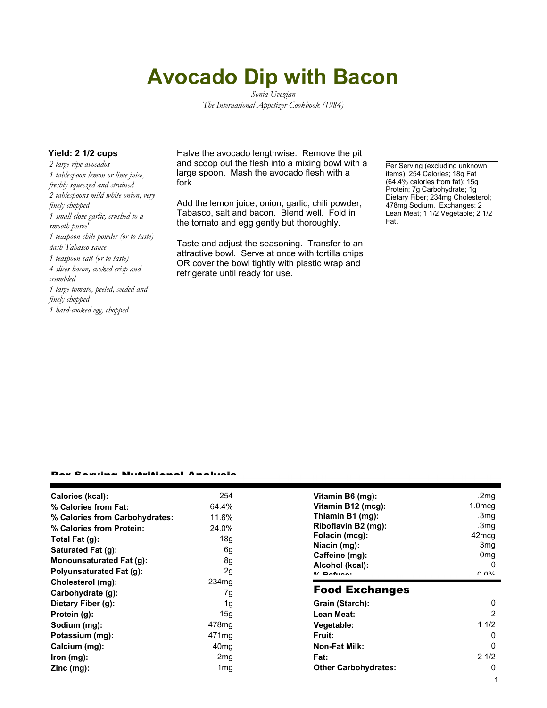## **Avocado Dip with Bacon**

*Sonia Uvezian The International Appetizer Cookbook (1984)*

*2 large ripe avocados 1 tablespoon lemon or lime juice, freshly squeezed and strained 2 tablespoons mild white onion, very finely chopped 1 small clove garlic, crushed to a smooth puree' 1 teaspoon chile powder (or to taste) dash Tabasco sauce 1 teaspoon salt (or to taste) 4 slices bacon, cooked crisp and crumbled 1 large tomato, peeled, seeded and finely chopped 1 hard-cooked egg, chopped*

**Yield: 2 1/2 cups Halve the avocado lengthwise. Remove the pit** and scoop out the flesh into a mixing bowl with a large spoon. Mash the avocado flesh with a fork.

> Add the lemon juice, onion, garlic, chili powder, Tabasco, salt and bacon. Blend well. Fold in the tomato and egg gently but thoroughly.

> Taste and adjust the seasoning. Transfer to an attractive bowl. Serve at once with tortilla chips OR cover the bowl tightly with plastic wrap and refrigerate until ready for use.

Per Serving (excluding unknown items): 254 Calories; 18g Fat (64.4% calories from fat); 15g Protein; 7g Carbohydrate; 1g Dietary Fiber; 234mg Cholesterol; 478mg Sodium. Exchanges: 2 Lean Meat; 1 1/2 Vegetable; 2 1/2 Fat.

## Per Serving Nutritional Analysis

| Calories (kcal):                | 254               | Vitamin B6 (mg):            | .2mg                           |
|---------------------------------|-------------------|-----------------------------|--------------------------------|
| % Calories from Fat:            | 64.4%             | Vitamin B12 (mcg):          | $1.0 \text{mcg}$               |
| % Calories from Carbohydrates:  | 11.6%             | Thiamin B1 (mg):            | .3 <sub>mg</sub>               |
| % Calories from Protein:        | 24.0%             | Riboflavin B2 (mg):         | .3mg                           |
| Total Fat $(g)$ :               | 18a               | Folacin (mcg):              | 42 <sub>mcq</sub>              |
| Saturated Fat (g):              | 6g                | Niacin (mg):                | 3 <sub>mg</sub>                |
| Monounsaturated Fat (g):        | 8g                | Caffeine (mg):              | 0 <sub>mg</sub>                |
| <b>Polyunsaturated Fat (g):</b> | 2g                | Alcohol (kcal):             | $\Omega$                       |
| Cholesterol (mg):               | 234 <sub>mg</sub> | $0/2$ Pofileon              | $\Omega$ $\Omega$ <sup>o</sup> |
|                                 |                   | <b>Food Exchanges</b>       |                                |
| Carbohydrate (g):               | 7g                |                             |                                |
| Dietary Fiber (g):              | 1g                | Grain (Starch):             | $\Omega$                       |
| Protein (g):                    | 15g               | Lean Meat:                  | 2                              |
| Sodium (mg):                    | 478mg             | Vegetable:                  | 11/2                           |
| Potassium (mg):                 | 471 mg            | Fruit:                      | 0                              |
| Calcium (mg):                   | 40 <sub>mg</sub>  | <b>Non-Fat Milk:</b>        | 0                              |
| $lron$ (mg):                    | 2 <sub>mg</sub>   | Fat:                        | 21/2                           |
| $Zinc$ (mg):                    | 1 <sub>mg</sub>   | <b>Other Carbohydrates:</b> | 0                              |
|                                 |                   |                             |                                |